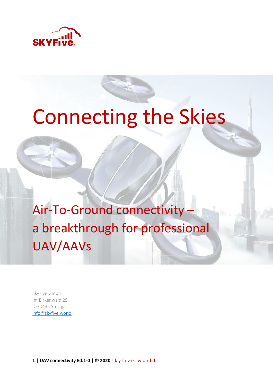

# Connecting the Skies

Air-To-Ground connectivity – a breakthrough for professional UAV/AAVs

SkyFive GmbH Im Birkenwald 25 D-70435 Stuttgart [info@skyfive.world](mailto:info@skyfive.world)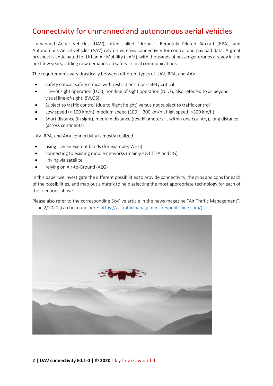## Connectivity for unmanned and autonomous aerial vehicles

Unmanned Aerial Vehicles (UAV), often called "drones", Remotely Piloted Aircraft (RPA), and Autonomous Aerial vehicles (AAV) rely on wireless connectivity for control and payload data. A great prospect is anticipated for Urban Air Mobility (UAM), with thousands of passenger drones already in the next few years, adding new demands on safety critical communications.

The requirements vary drastically between different types of UAV, RPA, and AAV:

- Safety critical, safety critical with restrictions, non-safety critical
- Line-of sight operation (LOS), non-line of sight operation (NLOS, also referred to as beyond visual line-of-sight, BVLOS)
- Subject to traffic control (due to flight height) versus not subject to traffic control
- Low speed (< 100 km/h), medium speed (100 … 300 km/h), high speed (>300 km/h)
- Short distance (in sight), medium distance (few kilometers ... within one country), long distance (across continents)

UAV, RPA, and AAV connectivity is mostly realized

- using license exempt bands (for example, Wi-Fi)
- connecting to existing mobile networks (mainly 4G LTE-A and 5G)
- linking via satellite
- relying on Air-to-Ground (A2G)

In this paper we investigate the different possibilities to provide connectivity, the pros and cons for each of the possibilities, and map out a matrix to help selecting the most appropriate technology for each of the scenarios above.

Please also refer to the corresponding SkyFive article in the news magazine "Air Traffic Management", issue 2/2020 (can be found here: [https://airtrafficmanagement.keypublishing.com/\)](https://airtrafficmanagement.keypublishing.com/).

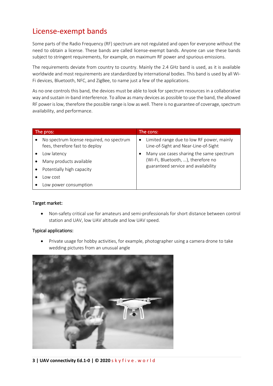## License-exempt bands

Some parts of the Radio Frequency (RF) spectrum are not regulated and open for everyone without the need to obtain a license. These bands are called license-exempt bands. Anyone can use these bands subject to stringent requirements, for example, on maximum RF power and spurious emissions.

The requirements deviate from country to country. Mainly the 2.4 GHz band is used, as it is available worldwide and most requirements are standardized by international bodies. This band is used by all Wi-Fi devices, Bluetooth, NFC, and ZigBee, to name just a few of the applications.

As no one controls this band, the devices must be able to look for spectrum resources in a collaborative way and sustain in-band interference. To allow as many devices as possible to use the band, the allowed RF power is low, therefore the possible range is low as well. There is no guarantee of coverage, spectrum availability, and performance.

| The pros: |                                                                             | The cons: |                                                                                   |  |
|-----------|-----------------------------------------------------------------------------|-----------|-----------------------------------------------------------------------------------|--|
|           | No spectrum license required, no spectrum<br>fees, therefore fast to deploy | $\bullet$ | Limited range due to low RF power, mainly<br>Line-of-Sight and Near-Line-of-Sight |  |
|           | Low latency                                                                 |           | Many use cases sharing the same spectrum                                          |  |
|           | Many products available                                                     |           | (Wi-Fi, Bluetooth, ), therefore no                                                |  |
|           | Potentially high capacity                                                   |           | guaranteed service and availability                                               |  |
|           | ow cost                                                                     |           |                                                                                   |  |
|           | Low power consumption                                                       |           |                                                                                   |  |

#### Target market:

• Non-safety critical use for amateurs and semi-professionals for short distance between control station and UAV, low UAV altitude and low UAV speed.

#### Typical applications:

• Private usage for hobby activities, for example, photographer using a camera drone to take wedding pictures from an unusual angle

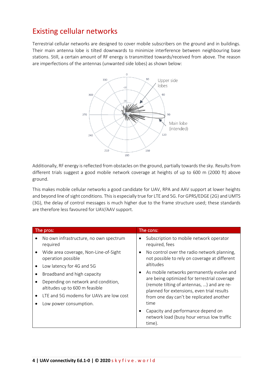## Existing cellular networks

Terrestrial cellular networks are designed to cover mobile subscribers on the ground and in buildings. Their main antenna lobe is tilted downwards to minimize interference between neighbouring base stations. Still, a certain amount of RF energy is transmitted towards/received from above. The reason are imperfections of the antennas (unwanted side lobes) as shown below:



Additionally, RF energy is reflected from obstacles on the ground, partially towards the sky. Results from different trials suggest a good mobile network coverage at heights of up to 600 m (2000 ft) above ground.

This makes mobile cellular networks a good candidate for UAV, RPA and AAV support at lower heights and beyond line of sight conditions. This is especially true for LTE and 5G. For GPRS/EDGE (2G) and UMTS (3G), the delay of control messages is much higher due to the frame structure used; these standards are therefore less favoured for UAV/AAV support.

| The pros: |                                                                       | The cons: |                                                                                                                                          |
|-----------|-----------------------------------------------------------------------|-----------|------------------------------------------------------------------------------------------------------------------------------------------|
|           | No own infrastructure, no own spectrum<br>required                    |           | Subscription to mobile network operator<br>required, fees                                                                                |
|           | Wide area coverage, Non-Line-of-Sight<br>operation possible           |           | No control over the radio network planning,<br>not possible to rely on coverage at different                                             |
|           | Low latency for 4G and 5G                                             |           | altitudes                                                                                                                                |
|           | Broadband and high capacity                                           |           | As mobile networks permanently evolve and                                                                                                |
|           | Depending on network and condition,<br>altitudes up to 600 m feasible |           | are being optimized for terrestrial coverage<br>(remote tilting of antennas, ) and are re-<br>planned for extensions, even trial results |
|           | LTE and 5G modems for UAVs are low cost                               |           | from one day can't be replicated another                                                                                                 |
|           | Low power consumption.                                                |           | time                                                                                                                                     |
|           |                                                                       |           | Capacity and performance depend on<br>network load (busy hour versus low traffic<br>time).                                               |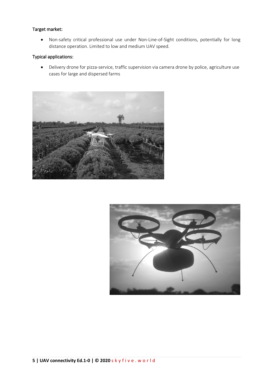## Target market:

• Non-safety critical professional use under Non-Line-of-Sight conditions, potentially for long distance operation. Limited to low and medium UAV speed.

## Typical applications:

• Delivery drone for pizza-service, traffic supervision via camera drone by police, agriculture use cases for large and dispersed farms



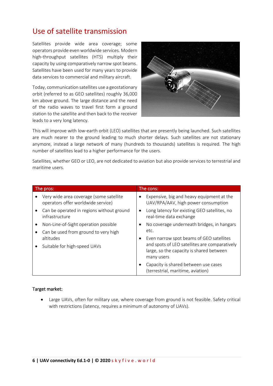## Use of satellite transmission

Satellites provide wide area coverage; some operators provide even worldwide services. Modern high-throughput satellites (HTS) multiply their capacity by using comparatively narrow spot beams. Satellites have been used for many years to provide data services to commercial and military aircraft.

Today, communication satellites use a geostationary orbit (referred to as GEO satellites) roughly 36,000 km above ground. The large distance and the need of the radio waves to travel first form a ground station to the satellite and then back to the receiver leads to a very long latency.



This will improve with low-earth orbit (LEO) satellites that are presently being launched. Such satellites are much nearer to the ground leading to much shorter delays. Such satellites are not stationary anymore, instead a large network of many (hundreds to thousands) satellites is required. The high number of satellites lead to a higher performance for the users.

Satellites, whether GEO or LEO, are not dedicated to aviation but also provide services to terrestrial and maritime users.

| The pros: |                                                                               | The cons: |                                                                                                         |  |
|-----------|-------------------------------------------------------------------------------|-----------|---------------------------------------------------------------------------------------------------------|--|
|           | Very wide area coverage (some satellite<br>operators offer worldwide service) |           | Expensive, big and heavy equipment at the<br>UAV/RPA/AAV, high power consumption                        |  |
|           | Can be operated in regions without ground<br>infrastructure                   | ٠         | Long latency for existing GEO satellites, no<br>real-time data exchange                                 |  |
|           | Non-Line-of-Sight operation possible                                          |           | No coverage underneath bridges, in hangars                                                              |  |
|           | Can be used from ground to very high                                          |           | etc.                                                                                                    |  |
|           | altitudes<br>Suitable for high-speed UAVs                                     |           | Even narrow spot beams of GEO satellites                                                                |  |
|           |                                                                               |           | and spots of LEO satellites are comparatively<br>large, so the capacity is shared between<br>many users |  |
|           |                                                                               |           | Capacity is shared between use cases<br>(terrestrial, maritime, aviation)                               |  |

#### Target market:

• Large UAVs, often for military use, where coverage from ground is not feasible. Safety critical with restrictions (latency, requires a minimum of autonomy of UAVs).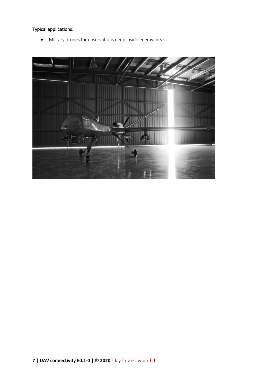## Typical applications:

• Military drones for observations deep inside enemy areas.

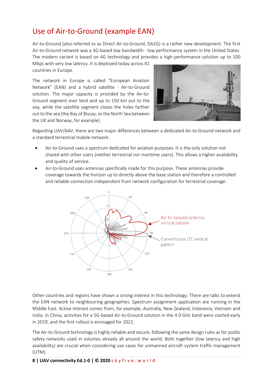## Use of Air-to-Ground (example EAN)

Air-to-Ground (also referred to as Direct Air-to-Ground, DA2G) is a rather new development. The first Air-to-Ground network was a 3G-based low bandwidth - low performance system in the United States. The modern variant is based on 4G technology and provides a high-performance solution up to 100

Mbps with very low latency. It is deployed today across 41 countries in Europe.

The network in Europe is called "European Aviation Network" (EAN) and a hybrid satellite - Air-to-Ground solution. The major capacity is provided by the Air-to-Ground segment over land and up to 150 km out to the sea, while the satellite segment closes the holes farther out to the sea (the Bay of Biscay, or the North Sea between the UK and Norway, for example).



Regarding UAV/AAV, there are two major differences between a dedicated Air-to-Ground network and a standard terrestrial mobile network:

- Air-to-Ground uses a spectrum dedicated for aviation purposes. It is the only solution not shared with other users (neither terrestrial nor maritime users). This allows a higher availability and quality of service.
- Air-to-Ground uses antennas specifically made for this purpose. These antennas provide coverage towards the horizon up to directly above the base station and therefore a controlled and reliable connection independent from network configuration for terrestrial coverage:



Other countries and regions have shown a strong interest in this technology. There are talks to extend the EAN network to neighbouring geographies. Spectrum assignment application are running in the Middle East. Active interest comes from, for example, Australia, New Zealand, Indonesia, Vietnam and India. In China, activities for a 5G-based Air-to-Ground solution in the 4.9 GHz band were started early in 2019, and the first rollout is envisaged for 2021.

The Air-to-Ground technology is highly reliable and secure, following the same design rules as for public safety networks used in volumes already all around the world. Both together (low latency and high availability) are crucial when considering use cases for unmanned aircraft system traffic management (UTM).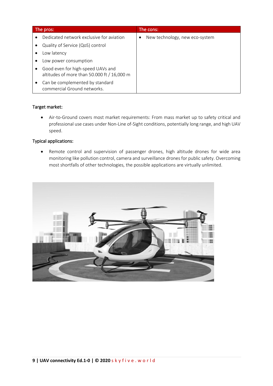| The pros: |                                                                                  | The cons: |                                |
|-----------|----------------------------------------------------------------------------------|-----------|--------------------------------|
|           | Dedicated network exclusive for aviation                                         |           | New technology, new eco-system |
|           | Quality of Service (QoS) control                                                 |           |                                |
|           | Low latency                                                                      |           |                                |
|           | Low power consumption                                                            |           |                                |
|           | Good even for high-speed UAVs and<br>altitudes of more than 50.000 ft / 16,000 m |           |                                |
|           | Can be complemented by standard<br>commercial Ground networks.                   |           |                                |

#### Target market:

• Air-to-Ground covers most market requirements: From mass market up to safety critical and professional use cases under Non-Line of-Sight conditions, potentially long range, and high UAV speed.

#### Typical applications:

• Remote control and supervision of passenger drones, high altitude drones for wide area monitoring like pollution control, camera and surveillance drones for public safety. Overcoming most shortfalls of other technologies, the possible applications are virtually unlimited.

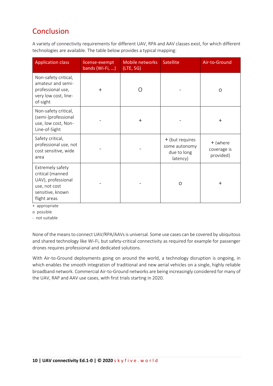## Conclusion

A variety of connectivity requirements for different UAV, RPA and AAV classes exist, for which different technologies are available. The table below provides a typical mapping:

| <b>Application class</b>                                                                                        | license-exempt<br>bands (Wi-Fi, ) | Mobile networks<br>(LTE, 5G) | <b>Satellite</b>                                            | Air-to-Ground                        |
|-----------------------------------------------------------------------------------------------------------------|-----------------------------------|------------------------------|-------------------------------------------------------------|--------------------------------------|
| Non-safety critical,<br>amateur and semi-<br>professional use,<br>very low cost, line-<br>of-sight              | $^{+}$                            | ∩                            |                                                             | O                                    |
| Non-safety critical,<br>(semi-)professional<br>use, low cost, Non-<br>Line-of-Sight                             |                                   | $^{+}$                       |                                                             | $^{+}$                               |
| Safety critical,<br>professional use, not<br>cost sensitive, wide<br>area                                       |                                   |                              | + (but requires<br>some autonomy<br>due to long<br>latency) | + (where<br>coverage is<br>provided) |
| Extremely safety<br>critical (manned<br>UAV), professional<br>use, not cost<br>sensitive, known<br>flight areas |                                   |                              | $\Omega$                                                    | $\pm$                                |

+ appropriate

o possible

- not suitable

None of the means to connect UAV/RPA/AAVs is universal. Some use cases can be covered by ubiquitous and shared technology like Wi-Fi, but safety-critical connectivity as required for example for passenger drones requires professional and dedicated solutions.

With Air-to-Ground deployments going on around the world, a technology disruption is ongoing, in which enables the smooth integration of traditional and new aerial vehicles on a single, highly reliable broadband network. Commercial Air-to-Ground networks are being increasingly considered for many of the UAV, RAP and AAV use cases, with first trials starting in 2020.